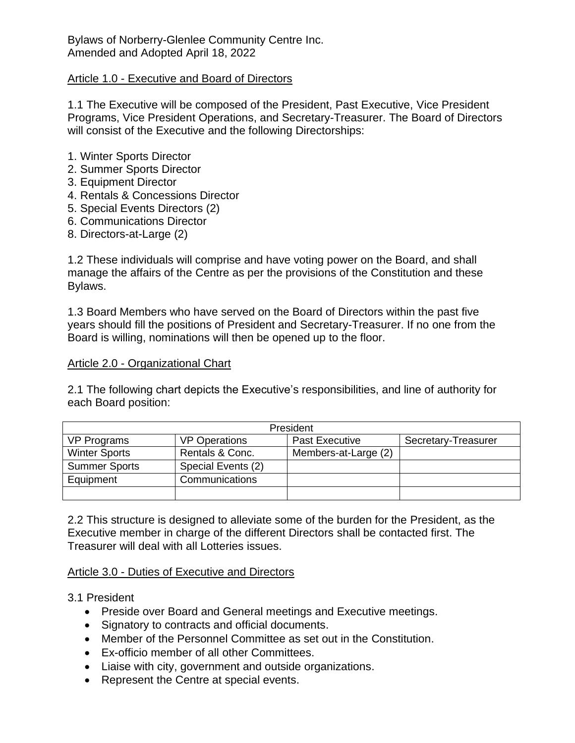Bylaws of Norberry-Glenlee Community Centre Inc. Amended and Adopted April 18, 2022

### Article 1.0 - Executive and Board of Directors

1.1 The Executive will be composed of the President, Past Executive, Vice President Programs, Vice President Operations, and Secretary-Treasurer. The Board of Directors will consist of the Executive and the following Directorships:

- 1. Winter Sports Director
- 2. Summer Sports Director
- 3. Equipment Director
- 4. Rentals & Concessions Director
- 5. Special Events Directors (2)
- 6. Communications Director
- 8. Directors-at-Large (2)

1.2 These individuals will comprise and have voting power on the Board, and shall manage the affairs of the Centre as per the provisions of the Constitution and these Bylaws.

1.3 Board Members who have served on the Board of Directors within the past five years should fill the positions of President and Secretary-Treasurer. If no one from the Board is willing, nominations will then be opened up to the floor.

### Article 2.0 - Organizational Chart

2.1 The following chart depicts the Executive's responsibilities, and line of authority for each Board position:

| <b>President</b>     |                      |                       |                     |
|----------------------|----------------------|-----------------------|---------------------|
| <b>VP Programs</b>   | <b>VP Operations</b> | <b>Past Executive</b> | Secretary-Treasurer |
| <b>Winter Sports</b> | Rentals & Conc.      | Members-at-Large (2)  |                     |
| <b>Summer Sports</b> | Special Events (2)   |                       |                     |
| Equipment            | Communications       |                       |                     |
|                      |                      |                       |                     |

2.2 This structure is designed to alleviate some of the burden for the President, as the Executive member in charge of the different Directors shall be contacted first. The Treasurer will deal with all Lotteries issues.

### Article 3.0 - Duties of Executive and Directors

- 3.1 President
	- Preside over Board and General meetings and Executive meetings.
	- Signatory to contracts and official documents.
	- Member of the Personnel Committee as set out in the Constitution.
	- Ex-officio member of all other Committees.
	- Liaise with city, government and outside organizations.
	- Represent the Centre at special events.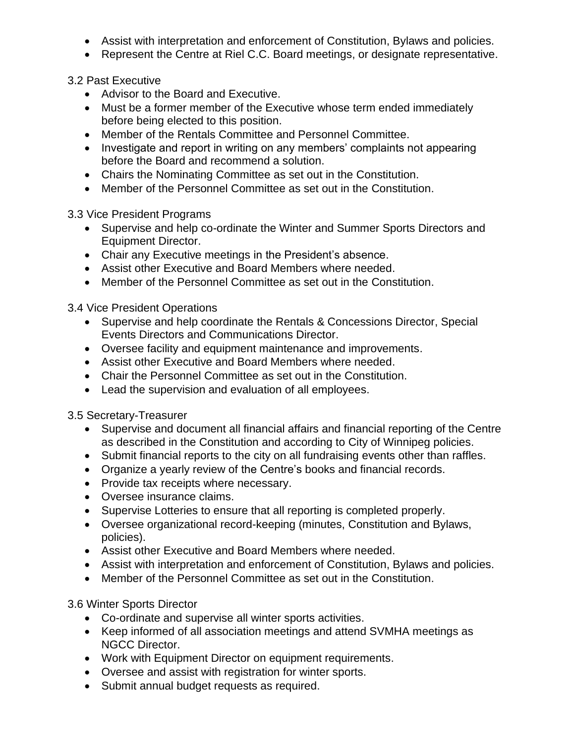- Assist with interpretation and enforcement of Constitution, Bylaws and policies.
- Represent the Centre at Riel C.C. Board meetings, or designate representative.

3.2 Past Executive

- Advisor to the Board and Executive.
- Must be a former member of the Executive whose term ended immediately before being elected to this position.
- Member of the Rentals Committee and Personnel Committee.
- Investigate and report in writing on any members' complaints not appearing before the Board and recommend a solution.
- Chairs the Nominating Committee as set out in the Constitution.
- Member of the Personnel Committee as set out in the Constitution.

3.3 Vice President Programs

- Supervise and help co-ordinate the Winter and Summer Sports Directors and Equipment Director.
- Chair any Executive meetings in the President's absence.
- Assist other Executive and Board Members where needed.
- Member of the Personnel Committee as set out in the Constitution.

3.4 Vice President Operations

- Supervise and help coordinate the Rentals & Concessions Director, Special Events Directors and Communications Director.
- Oversee facility and equipment maintenance and improvements.
- Assist other Executive and Board Members where needed.
- Chair the Personnel Committee as set out in the Constitution.
- Lead the supervision and evaluation of all employees.

3.5 Secretary-Treasurer

- Supervise and document all financial affairs and financial reporting of the Centre as described in the Constitution and according to City of Winnipeg policies.
- Submit financial reports to the city on all fundraising events other than raffles.
- Organize a yearly review of the Centre's books and financial records.
- Provide tax receipts where necessary.
- Oversee insurance claims.
- Supervise Lotteries to ensure that all reporting is completed properly.
- Oversee organizational record-keeping (minutes, Constitution and Bylaws, policies).
- Assist other Executive and Board Members where needed.
- Assist with interpretation and enforcement of Constitution, Bylaws and policies.
- Member of the Personnel Committee as set out in the Constitution.

3.6 Winter Sports Director

- Co-ordinate and supervise all winter sports activities.
- Keep informed of all association meetings and attend SVMHA meetings as NGCC Director.
- Work with Equipment Director on equipment requirements.
- Oversee and assist with registration for winter sports.
- Submit annual budget requests as required.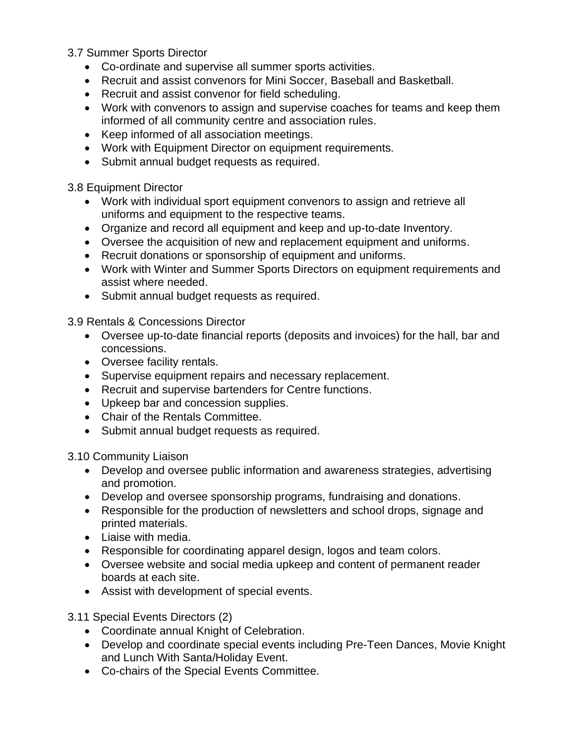### 3.7 Summer Sports Director

- Co-ordinate and supervise all summer sports activities.
- Recruit and assist convenors for Mini Soccer, Baseball and Basketball.
- Recruit and assist convenor for field scheduling.
- Work with convenors to assign and supervise coaches for teams and keep them informed of all community centre and association rules.
- Keep informed of all association meetings.
- Work with Equipment Director on equipment requirements.
- Submit annual budget requests as required.

3.8 Equipment Director

- Work with individual sport equipment convenors to assign and retrieve all uniforms and equipment to the respective teams.
- Organize and record all equipment and keep and up-to-date Inventory.
- Oversee the acquisition of new and replacement equipment and uniforms.
- Recruit donations or sponsorship of equipment and uniforms.
- Work with Winter and Summer Sports Directors on equipment requirements and assist where needed.
- Submit annual budget requests as required.

3.9 Rentals & Concessions Director

- Oversee up-to-date financial reports (deposits and invoices) for the hall, bar and concessions.
- Oversee facility rentals.
- Supervise equipment repairs and necessary replacement.
- Recruit and supervise bartenders for Centre functions.
- Upkeep bar and concession supplies.
- Chair of the Rentals Committee.
- Submit annual budget requests as required.

3.10 Community Liaison

- Develop and oversee public information and awareness strategies, advertising and promotion.
- Develop and oversee sponsorship programs, fundraising and donations.
- Responsible for the production of newsletters and school drops, signage and printed materials.
- Liaise with media.
- Responsible for coordinating apparel design, logos and team colors.
- Oversee website and social media upkeep and content of permanent reader boards at each site.
- Assist with development of special events.

3.11 Special Events Directors (2)

- Coordinate annual Knight of Celebration.
- Develop and coordinate special events including Pre-Teen Dances, Movie Knight and Lunch With Santa/Holiday Event.
- Co-chairs of the Special Events Committee.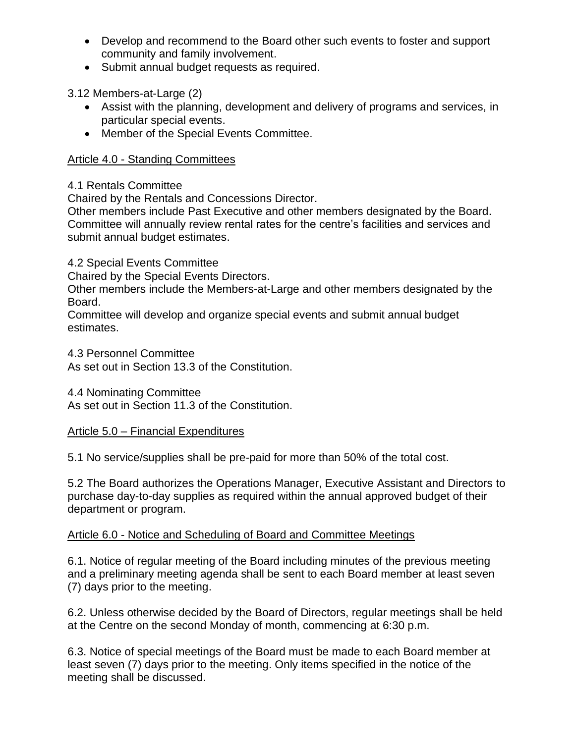- Develop and recommend to the Board other such events to foster and support community and family involvement.
- Submit annual budget requests as required.

3.12 Members-at-Large (2)

- Assist with the planning, development and delivery of programs and services, in particular special events.
- Member of the Special Events Committee.

# Article 4.0 - Standing Committees

# 4.1 Rentals Committee

Chaired by the Rentals and Concessions Director.

Other members include Past Executive and other members designated by the Board. Committee will annually review rental rates for the centre's facilities and services and submit annual budget estimates.

4.2 Special Events Committee

Chaired by the Special Events Directors.

Other members include the Members-at-Large and other members designated by the Board.

Committee will develop and organize special events and submit annual budget estimates.

4.3 Personnel Committee

As set out in Section 13.3 of the Constitution.

4.4 Nominating Committee

As set out in Section 11.3 of the Constitution.

## Article 5.0 – Financial Expenditures

5.1 No service/supplies shall be pre-paid for more than 50% of the total cost.

5.2 The Board authorizes the Operations Manager, Executive Assistant and Directors to purchase day-to-day supplies as required within the annual approved budget of their department or program.

## Article 6.0 - Notice and Scheduling of Board and Committee Meetings

6.1. Notice of regular meeting of the Board including minutes of the previous meeting and a preliminary meeting agenda shall be sent to each Board member at least seven (7) days prior to the meeting.

6.2. Unless otherwise decided by the Board of Directors, regular meetings shall be held at the Centre on the second Monday of month, commencing at 6:30 p.m.

6.3. Notice of special meetings of the Board must be made to each Board member at least seven (7) days prior to the meeting. Only items specified in the notice of the meeting shall be discussed.